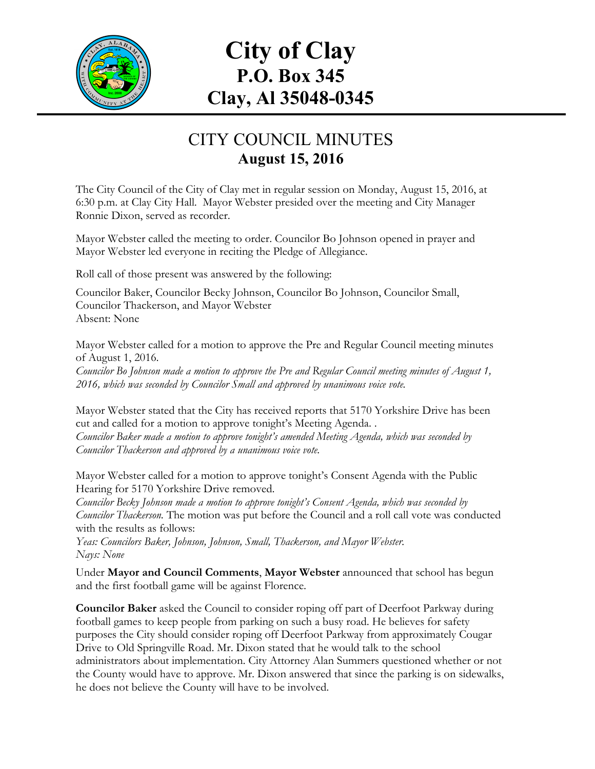

# **City of Clay P.O. Box 345 Clay, Al 35048-0345**

## CITY COUNCIL MINUTES **August 15, 2016**

The City Council of the City of Clay met in regular session on Monday, August 15, 2016, at 6:30 p.m. at Clay City Hall. Mayor Webster presided over the meeting and City Manager Ronnie Dixon, served as recorder.

Mayor Webster called the meeting to order. Councilor Bo Johnson opened in prayer and Mayor Webster led everyone in reciting the Pledge of Allegiance.

Roll call of those present was answered by the following:

Councilor Baker, Councilor Becky Johnson, Councilor Bo Johnson, Councilor Small, Councilor Thackerson, and Mayor Webster Absent: None

Mayor Webster called for a motion to approve the Pre and Regular Council meeting minutes of August 1, 2016.

*Councilor Bo Johnson made a motion to approve the Pre and Regular Council meeting minutes of August 1, 2016, which was seconded by Councilor Small and approved by unanimous voice vote.*

Mayor Webster stated that the City has received reports that 5170 Yorkshire Drive has been cut and called for a motion to approve tonight's Meeting Agenda. . *Councilor Baker made a motion to approve tonight's amended Meeting Agenda, which was seconded by Councilor Thackerson and approved by a unanimous voice vote.*

Mayor Webster called for a motion to approve tonight's Consent Agenda with the Public Hearing for 5170 Yorkshire Drive removed.

*Councilor Becky Johnson made a motion to approve tonight's Consent Agenda, which was seconded by Councilor Thackerson.* The motion was put before the Council and a roll call vote was conducted with the results as follows:

*Yeas: Councilors Baker, Johnson, Johnson, Small, Thackerson, and Mayor Webster. Nays: None*

Under **Mayor and Council Comments**, **Mayor Webster** announced that school has begun and the first football game will be against Florence.

**Councilor Baker** asked the Council to consider roping off part of Deerfoot Parkway during football games to keep people from parking on such a busy road. He believes for safety purposes the City should consider roping off Deerfoot Parkway from approximately Cougar Drive to Old Springville Road. Mr. Dixon stated that he would talk to the school administrators about implementation. City Attorney Alan Summers questioned whether or not the County would have to approve. Mr. Dixon answered that since the parking is on sidewalks, he does not believe the County will have to be involved.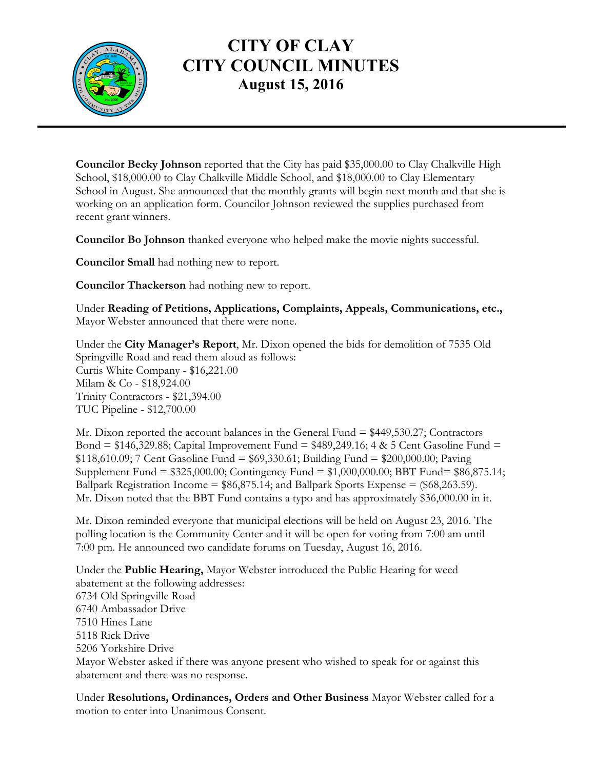

### **CITY OF CLAY CITY COUNCIL MINUTES August 15, 2016**

**Councilor Becky Johnson** reported that the City has paid \$35,000.00 to Clay Chalkville High School, \$18,000.00 to Clay Chalkville Middle School, and \$18,000.00 to Clay Elementary School in August. She announced that the monthly grants will begin next month and that she is working on an application form. Councilor Johnson reviewed the supplies purchased from recent grant winners.

**Councilor Bo Johnson** thanked everyone who helped make the movie nights successful.

**Councilor Small** had nothing new to report.

**Councilor Thackerson** had nothing new to report.

Under **Reading of Petitions, Applications, Complaints, Appeals, Communications, etc.,** Mayor Webster announced that there were none.

Under the **City Manager's Report**, Mr. Dixon opened the bids for demolition of 7535 Old Springville Road and read them aloud as follows: Curtis White Company - \$16,221.00 Milam & Co - \$18,924.00 Trinity Contractors - \$21,394.00 TUC Pipeline - \$12,700.00

Mr. Dixon reported the account balances in the General Fund = \$449,530.27; Contractors Bond =  $$146,329.88$ ; Capital Improvement Fund =  $$489,249.16$ ; 4 & 5 Cent Gasoline Fund = \$118,610.09; 7 Cent Gasoline Fund = \$69,330.61; Building Fund = \$200,000.00; Paving Supplement Fund = \$325,000.00; Contingency Fund = \$1,000,000.00; BBT Fund= \$86,875.14; Ballpark Registration Income =  $$86,875.14$ ; and Ballpark Sports Expense =  $$68,263.59$ ). Mr. Dixon noted that the BBT Fund contains a typo and has approximately \$36,000.00 in it.

Mr. Dixon reminded everyone that municipal elections will be held on August 23, 2016. The polling location is the Community Center and it will be open for voting from 7:00 am until 7:00 pm. He announced two candidate forums on Tuesday, August 16, 2016.

Under the **Public Hearing,** Mayor Webster introduced the Public Hearing for weed abatement at the following addresses: 6734 Old Springville Road 6740 Ambassador Drive 7510 Hines Lane 5118 Rick Drive 5206 Yorkshire Drive Mayor Webster asked if there was anyone present who wished to speak for or against this abatement and there was no response.

Under **Resolutions, Ordinances, Orders and Other Business** Mayor Webster called for a motion to enter into Unanimous Consent.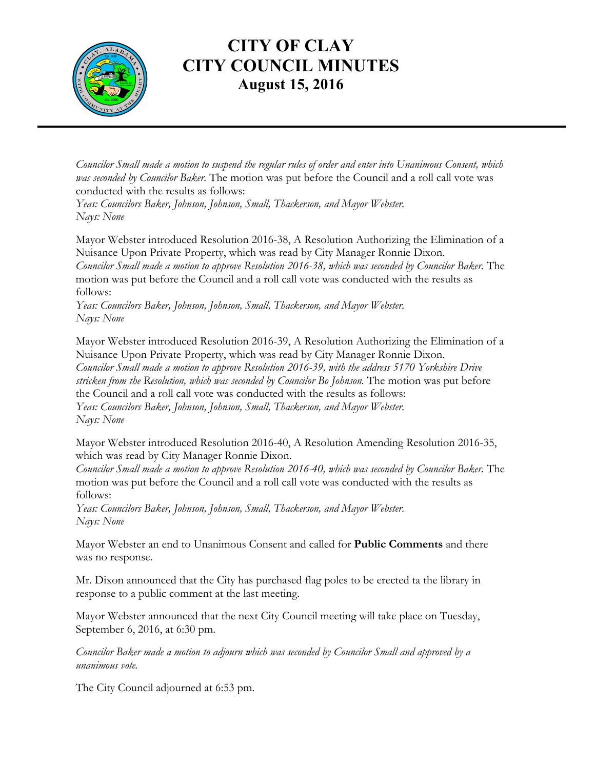

### **CITY OF CLAY CITY COUNCIL MINUTES August 15, 2016**

*Councilor Small made a motion to suspend the regular rules of order and enter into Unanimous Consent, which was seconded by Councilor Baker.* The motion was put before the Council and a roll call vote was conducted with the results as follows:

*Yeas: Councilors Baker, Johnson, Johnson, Small, Thackerson, and Mayor Webster. Nays: None*

Mayor Webster introduced Resolution 2016-38, A Resolution Authorizing the Elimination of a Nuisance Upon Private Property, which was read by City Manager Ronnie Dixon. *Councilor Small made a motion to approve Resolution 2016-38, which was seconded by Councilor Baker.* The motion was put before the Council and a roll call vote was conducted with the results as follows:

*Yeas: Councilors Baker, Johnson, Johnson, Small, Thackerson, and Mayor Webster. Nays: None*

Mayor Webster introduced Resolution 2016-39, A Resolution Authorizing the Elimination of a Nuisance Upon Private Property, which was read by City Manager Ronnie Dixon. *Councilor Small made a motion to approve Resolution 2016-39, with the address 5170 Yorkshire Drive stricken from the Resolution, which was seconded by Councilor Bo Johnson.* The motion was put before the Council and a roll call vote was conducted with the results as follows: *Yeas: Councilors Baker, Johnson, Johnson, Small, Thackerson, and Mayor Webster. Nays: None*

Mayor Webster introduced Resolution 2016-40, A Resolution Amending Resolution 2016-35, which was read by City Manager Ronnie Dixon.

*Councilor Small made a motion to approve Resolution 2016-40, which was seconded by Councilor Baker.* The motion was put before the Council and a roll call vote was conducted with the results as follows:

*Yeas: Councilors Baker, Johnson, Johnson, Small, Thackerson, and Mayor Webster. Nays: None*

Mayor Webster an end to Unanimous Consent and called for **Public Comments** and there was no response.

Mr. Dixon announced that the City has purchased flag poles to be erected ta the library in response to a public comment at the last meeting.

Mayor Webster announced that the next City Council meeting will take place on Tuesday, September 6, 2016, at 6:30 pm.

*Councilor Baker made a motion to adjourn which was seconded by Councilor Small and approved by a unanimous vote.*

The City Council adjourned at 6:53 pm.